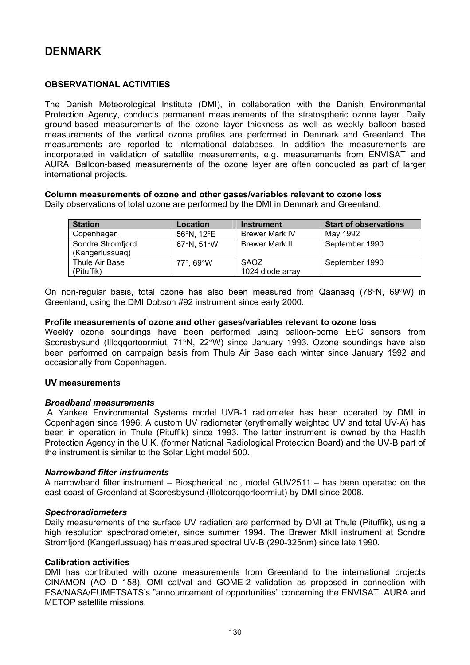# **OBSERVATIONAL ACTIVITIES**

The Danish Meteorological Institute (DMI), in collaboration with the Danish Environmental Protection Agency, conducts permanent measurements of the stratospheric ozone layer. Daily ground-based measurements of the ozone layer thickness as well as weekly balloon based measurements of the vertical ozone profiles are performed in Denmark and Greenland. The measurements are reported to international databases. In addition the measurements are incorporated in validation of satellite measurements, e.g. measurements from ENVISAT and AURA. Balloon-based measurements of the ozone layer are often conducted as part of larger international projects.

# **Column measurements of ozone and other gases/variables relevant to ozone loss**

Daily observations of total ozone are performed by the DMI in Denmark and Greenland:

| <b>Station</b>                       | Location   | <b>Instrument</b>               | <b>Start of observations</b> |
|--------------------------------------|------------|---------------------------------|------------------------------|
| Copenhagen                           | 56°N, 12°E | <b>Brewer Mark IV</b>           | Mav 1992                     |
| Sondre Stromfjord<br>(Kangerlussuag) | 67°N, 51°W | <b>Brewer Mark II</b>           | September 1990               |
| Thule Air Base<br>(Pituffik)         | 77°. 69°W  | <b>SAOZ</b><br>1024 diode array | September 1990               |

On non-regular basis, total ozone has also been measured from Qaanaaq (78°N, 69°W) in Greenland, using the DMI Dobson #92 instrument since early 2000.

### **Profile measurements of ozone and other gases/variables relevant to ozone loss**

Weekly ozone soundings have been performed using balloon-borne EEC sensors from Scoresbysund (Illoqqortoormiut, 71°N, 22°W) since January 1993. Ozone soundings have also been performed on campaign basis from Thule Air Base each winter since January 1992 and occasionally from Copenhagen.

### **UV measurements**

### *Broadband measurements*

 A Yankee Environmental Systems model UVB-1 radiometer has been operated by DMI in Copenhagen since 1996. A custom UV radiometer (erythemally weighted UV and total UV-A) has been in operation in Thule (Pituffik) since 1993. The latter instrument is owned by the Health Protection Agency in the U.K. (former National Radiological Protection Board) and the UV-B part of the instrument is similar to the Solar Light model 500.

### *Narrowband filter instruments*

A narrowband filter instrument – Biospherical Inc., model GUV2511 – has been operated on the east coast of Greenland at Scoresbysund (Illotoorqqortoormiut) by DMI since 2008.

### *Spectroradiometers*

Daily measurements of the surface UV radiation are performed by DMI at Thule (Pituffik), using a high resolution spectroradiometer, since summer 1994. The Brewer MkII instrument at Sondre Stromfjord (Kangerlussuaq) has measured spectral UV-B (290-325nm) since late 1990.

### **Calibration activities**

DMI has contributed with ozone measurements from Greenland to the international projects CINAMON (AO-ID 158), OMI cal/val and GOME-2 validation as proposed in connection with ESA/NASA/EUMETSATS's "announcement of opportunities" concerning the ENVISAT, AURA and METOP satellite missions.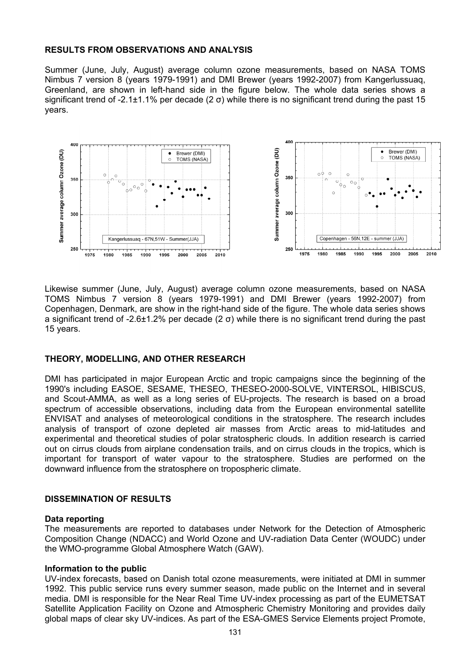# **RESULTS FROM OBSERVATIONS AND ANALYSIS**

Summer (June, July, August) average column ozone measurements, based on NASA TOMS Nimbus 7 version 8 (years 1979-1991) and DMI Brewer (years 1992-2007) from Kangerlussuaq, Greenland, are shown in left-hand side in the figure below. The whole data series shows a significant trend of -2.1 $\pm$ 1.1% per decade (2  $\sigma$ ) while there is no significant trend during the past 15 years.



Likewise summer (June, July, August) average column ozone measurements, based on NASA TOMS Nimbus 7 version 8 (years 1979-1991) and DMI Brewer (years 1992-2007) from Copenhagen, Denmark, are show in the right-hand side of the figure. The whole data series shows a significant trend of -2.6±1.2% per decade (2 σ) while there is no significant trend during the past 15 years.

# **THEORY, MODELLING, AND OTHER RESEARCH**

DMI has participated in major European Arctic and tropic campaigns since the beginning of the 1990's including EASOE, SESAME, THESEO, THESEO-2000-SOLVE, VINTERSOL, HIBISCUS, and Scout-AMMA, as well as a long series of EU-projects. The research is based on a broad spectrum of accessible observations, including data from the European environmental satellite ENVISAT and analyses of meteorological conditions in the stratosphere. The research includes analysis of transport of ozone depleted air masses from Arctic areas to mid-latitudes and experimental and theoretical studies of polar stratospheric clouds. In addition research is carried out on cirrus clouds from airplane condensation trails, and on cirrus clouds in the tropics, which is important for transport of water vapour to the stratosphere. Studies are performed on the downward influence from the stratosphere on tropospheric climate.

### **DISSEMINATION OF RESULTS**

### **Data reporting**

The measurements are reported to databases under Network for the Detection of Atmospheric Composition Change (NDACC) and World Ozone and UV-radiation Data Center (WOUDC) under the WMO-programme Global Atmosphere Watch (GAW).

### **Information to the public**

UV-index forecasts, based on Danish total ozone measurements, were initiated at DMI in summer 1992. This public service runs every summer season, made public on the Internet and in several media. DMI is responsible for the Near Real Time UV-index processing as part of the EUMETSAT Satellite Application Facility on Ozone and Atmospheric Chemistry Monitoring and provides daily global maps of clear sky UV-indices. As part of the ESA-GMES Service Elements project Promote,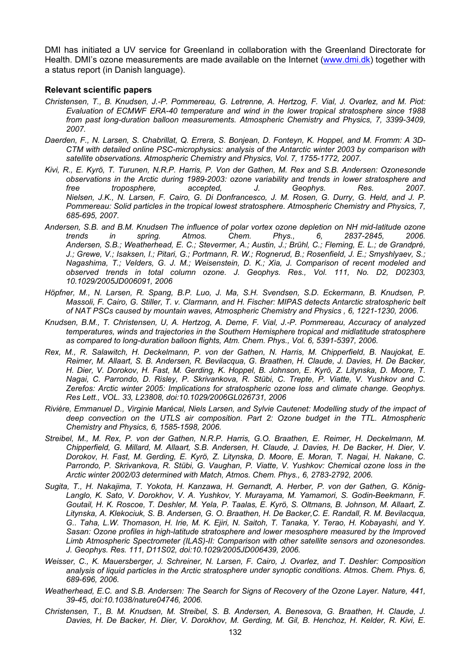DMI has initiated a UV service for Greenland in collaboration with the Greenland Directorate for Health. DMI's ozone measurements are made available on the Internet [\(www.dmi.dk\)](http://www.dmi.dk/) together with a status report (in Danish language).

#### **Relevant scientific papers**

- *Christensen, T., B. Knudsen, J.-P. Pommereau, G. Letrenne, A. Hertzog, F. Vial, J. Ovarlez, and M. Piot: Evaluation of ECMWF ERA-40 temperature and wind in the lower tropical stratosphere since 1988 from past long-duration balloon measurements. Atmospheric Chemistry and Physics, 7, 3399-3409, 2007.*
- *Daerden, F., N. Larsen, S. Chabrillat, Q. Errera, S. Bonjean, D. Fonteyn, K. Hoppel, and M. Fromm: A 3D-CTM with detailed online PSC-microphysics: analysis of the Antarctic winter 2003 by comparison with satellite observations. Atmospheric Chemistry and Physics, Vol. 7, 1755-1772, 2007.*
- *Kivi, R., E. Kyrö, T. Turunen, N.R.P. Harris, P. Von der Gathen, M. Rex and S.B. Andersen: Ozonesonde observations in the Arctic during 1989-2003: ozone variability and trends in lower stratosphere and free troposphere, accepted, J. Geophys. Res. 2007. Nielsen, J.K., N. Larsen, F. Cairo, G. Di Donfrancesco, J. M. Rosen, G. Durry, G. Held, and J. P. Pommereau: Solid particles in the tropical lowest stratosphere. Atmospheric Chemistry and Physics, 7, 685-695, 2007.*
- *Andersen, S.B. and B.M. Knudsen The influence of polar vortex ozone depletion on NH mid-latitude ozone trends in spring. Atmos. Chem. Phys., 6, 2837-2845, Andersen, S.B.; Weatherhead, E. C.; Stevermer, A.; Austin, J.; Brühl, C.; Fleming, E. L.; de Grandpré, J.; Grewe, V.; Isaksen, I.; Pitari, G.; Portmann, R. W.; Rognerud, B.; Rosenfield, J. E.; Smyshlyaev, S.; Nagashima, T.; Velders, G. J. M.; Weisenstein, D. K.; Xia, J. Comparison of recent modeled and observed trends in total column ozone. J. Geophys. Res., Vol. 111, No. D2, D02303, 10.1029/2005JD006091, 2006*
- *Höpfner, M., N. Larsen, R. Spang, B.P. Luo, J. Ma, S.H. Svendsen, S.D. Eckermann, B. Knudsen, P. Massoli, F. Cairo, G. Stiller, T. v. Clarmann, and H. Fischer: MIPAS detects Antarctic stratospheric belt of NAT PSCs caused by mountain waves, Atmospheric Chemistry and Physics , 6, 1221-1230, 2006.*
- *Knudsen, B.M., T. Christensen, U, A. Hertzog, A. Deme, F. Vial, J.-P. Pommereau, Accuracy of analyzed temperatures, winds and trajectories in the Southern Hemisphere tropical and midlatitude stratosphere as compared to long-duration balloon flights, Atm. Chem. Phys., Vol. 6, 5391-5397, 2006.*
- *Rex, M., R. Salawitch, H. Deckelmann, P. von der Gathen, N. Harris, M. Chipperfield, B. Naujokat, E. Reimer, M. Allaart, S. B. Andersen, R. Bevilacqua, G. Braathen, H. Claude, J. Davies, H. De Backer, H. Dier, V. Dorokov, H. Fast, M. Gerding, K. Hoppel, B. Johnson, E. Kyrö, Z. Litynska, D. Moore, T. Nagai, C. Parrondo, D. Risley, P. Skrivankova, R. Stübi, C. Trepte, P. Viatte, V. Yushkov and C. Zerefos: Arctic winter 2005: Implications for stratospheric ozone loss and climate change. Geophys. Res Lett., VOL. 33, L23808, doi:10.1029/2006GL026731, 2006*
- *Rivière, Emmanuel D., Virginie Marécal, Niels Larsen, and Sylvie Cautenet: Modelling study of the impact of deep convection on the UTLS air composition. Part 2: Ozone budget in the TTL. Atmospheric Chemistry and Physics, 6, 1585-1598, 2006.*
- *Streibel, M., M. Rex, P. von der Gathen, N.R.P. Harris, G.O. Braathen, E. Reimer, H. Deckelmann, M. Chipperfield, G. Millard, M. Allaart, S.B. Andersen, H. Claude, J. Davies, H. De Backer, H. Dier, V. Dorokov, H. Fast, M. Gerding, E. Kyrö, Z. Litynska, D. Moore, E. Moran, T. Nagai, H. Nakane, C. Parrondo, P. Skrivankova, R. Stübi, G. Vaughan, P. Viatte, V. Yushkov: Chemical ozone loss in the Arctic winter 2002/03 determined with Match, Atmos. Chem. Phys., 6, 2783-2792, 2006.*
- *Sugita, T., H. Nakajima, T. Yokota, H. Kanzawa, H. Gernandt, A. Herber, P. von der Gathen, G. König-Langlo, K. Sato, V. Dorokhov, V. A. Yushkov, Y. Murayama, M. Yamamori, S. Godin-Beekmann, F. Goutail, H. K. Roscoe, T. Deshler, M. Yela, P. Taalas, E. Kyrö, S. Oltmans, B. Johnson, M. Allaart, Z. Litynska, A. Klekociuk, S. B. Andersen, G. O. Braathen, H. De Backer,C. E. Randall, R. M. Bevilacqua, G.. Taha, L.W. Thomason, H. Irie, M. K. Ejiri, N. Saitoh, T. Tanaka, Y. Terao, H. Kobayashi, and Y. Sasan: Ozone profiles in high-latitude stratosphere and lower mesosphere measured by the Improved Limb Atmospheric Spectrometer (ILAS)-II: Comparison with other satellite sensors and ozonesondes. J. Geophys. Res. 111, D11S02, doi:10.1029/2005JD006439, 2006.*
- *Weisser, C., K. Mauersberger, J. Schreiner, N. Larsen, F. Cairo, J. Ovarlez, and T. Deshler: Composition analysis of liquid particles in the Arctic stratosphere under synoptic conditions. Atmos. Chem. Phys. 6, 689-696, 2006.*
- *Weatherhead, E.C. and S.B. Andersen: The Search for Signs of Recovery of the Ozone Layer. Nature, 441, 39-45, doi:10.1038/nature04746, 2006.*
- *Christensen, T., B. M. Knudsen, M. Streibel, S. B. Andersen, A. Benesova, G. Braathen, H. Claude, J. Davies, H. De Backer, H. Dier, V. Dorokhov, M. Gerding, M. Gil, B. Henchoz, H. Kelder, R. Kivi, E.*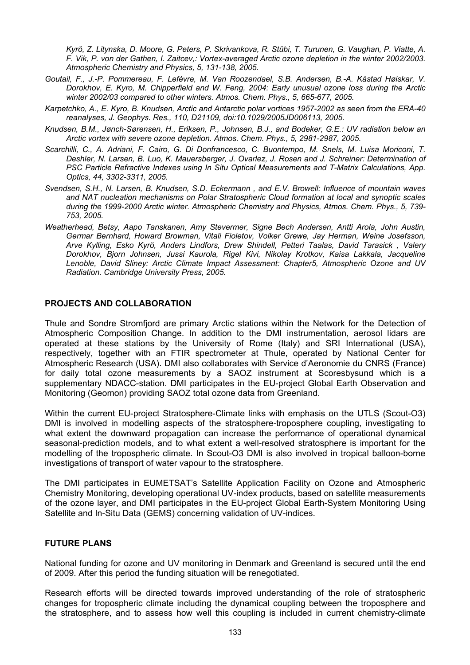*Kyrö, Z. Litynska, D. Moore, G. Peters, P. Skrivankova, R. Stübi, T. Turunen, G. Vaughan, P. Viatte, A. F. Vik, P. von der Gathen, I. Zaitcev,: Vortex-averaged Arctic ozone depletion in the winter 2002/2003. Atmospheric Chemistry and Physics, 5, 131-138, 2005.* 

- *Goutail, F., J.-P. Pommereau, F. Lefèvre, M. Van Roozendael, S.B. Andersen, B.-A. Kåstad Høiskar, V. Dorokhov, E. Kyro, M. Chipperfield and W. Feng, 2004: Early unusual ozone loss during the Arctic winter 2002/03 compared to other winters. Atmos. Chem. Phys., 5, 665-677, 2005.*
- *Karpetchko, A., E. Kyro, B. Knudsen, Arctic and Antarctic polar vortices 1957-2002 as seen from the ERA-40 reanalyses, J. Geophys. Res., 110, D21109, doi:10.1029/2005JD006113, 2005.*
- *Knudsen, B.M., Jønch-Sørensen, H., Eriksen, P., Johnsen, B.J., and Bodeker, G.E.: UV radiation below an Arctic vortex with severe ozone depletion. Atmos. Chem. Phys., 5, 2981-2987, 2005.*
- *Scarchilli, C., A. Adriani, F. Cairo, G. Di Donfrancesco, C. Buontempo, M. Snels, M. Luisa Moriconi, T. Deshler, N. Larsen, B. Luo, K. Mauersberger, J. Ovarlez, J. Rosen and J. Schreiner: Determination of PSC Particle Refractive Indexes using In Situ Optical Measurements and T-Matrix Calculations, App. Optics, 44, 3302-3311, 2005.*
- *Svendsen, S.H., N. Larsen, B. Knudsen, S.D. Eckermann , and E.V. Browell: Influence of mountain waves and NAT nucleation mechanisms on Polar Stratospheric Cloud formation at local and synoptic scales during the 1999-2000 Arctic winter. Atmospheric Chemistry and Physics, Atmos. Chem. Phys., 5, 739- 753, 2005.*
- *Weatherhead, Betsy, Aapo Tanskanen, Amy Stevermer, Signe Bech Andersen, Antti Arola, John Austin, Germar Bernhard, Howard Browman, Vitali Fioletov, Volker Grewe, Jay Herman, Weine Josefsson, Arve Kylling, Esko Kyrö, Anders Lindfors, Drew Shindell, Petteri Taalas, David Tarasick , Valery Dorokhov, Bjorn Johnsen, Jussi Kaurola, Rigel Kivi, Nikolay Krotkov, Kaisa Lakkala, Jacqueline Lenoble, David Sliney: Arctic Climate Impact Assessment: Chapter5, Atmospheric Ozone and UV Radiation. Cambridge University Press, 2005.*

### **PROJECTS AND COLLABORATION**

Thule and Sondre Stromfjord are primary Arctic stations within the Network for the Detection of Atmospheric Composition Change. In addition to the DMI instrumentation, aerosol lidars are operated at these stations by the University of Rome (Italy) and SRI International (USA), respectively, together with an FTIR spectrometer at Thule, operated by National Center for Atmospheric Research (USA). DMI also collaborates with Service d'Aeronomie du CNRS (France) for daily total ozone measurements by a SAOZ instrument at Scoresbysund which is a supplementary NDACC-station. DMI participates in the EU-project Global Earth Observation and Monitoring (Geomon) providing SAOZ total ozone data from Greenland.

Within the current EU-project Stratosphere-Climate links with emphasis on the UTLS (Scout-O3) DMI is involved in modelling aspects of the stratosphere-troposphere coupling, investigating to what extent the downward propagation can increase the performance of operational dynamical seasonal-prediction models, and to what extent a well-resolved stratosphere is important for the modelling of the tropospheric climate. In Scout-O3 DMI is also involved in tropical balloon-borne investigations of transport of water vapour to the stratosphere.

The DMI participates in EUMETSAT's Satellite Application Facility on Ozone and Atmospheric Chemistry Monitoring, developing operational UV-index products, based on satellite measurements of the ozone layer, and DMI participates in the EU-project Global Earth-System Monitoring Using Satellite and In-Situ Data (GEMS) concerning validation of UV-indices.

### **FUTURE PLANS**

National funding for ozone and UV monitoring in Denmark and Greenland is secured until the end of 2009. After this period the funding situation will be renegotiated.

Research efforts will be directed towards improved understanding of the role of stratospheric changes for tropospheric climate including the dynamical coupling between the troposphere and the stratosphere, and to assess how well this coupling is included in current chemistry-climate